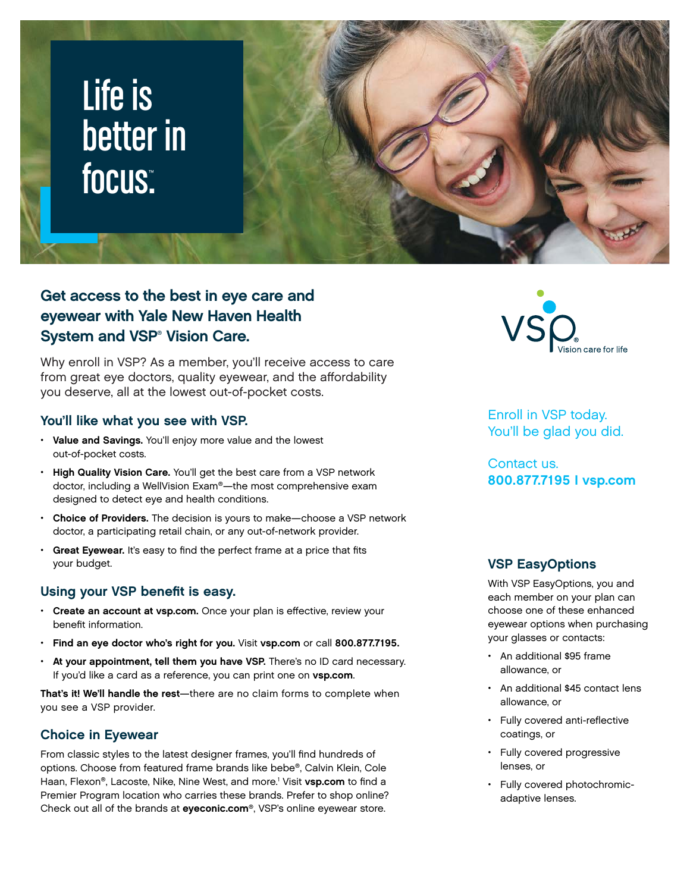# Life is better in focus<mark>:</mark>



### Get access to the best in eye care and eyewear with Yale New Haven Health System and VSP<sup>®</sup> Vision Care.

Why enroll in VSP? As a member, you'll receive access to care from great eye doctors, quality eyewear, and the affordability you deserve, all at the lowest out-of-pocket costs.

#### You'll like what you see with VSP.

- Value and Savings. You'll enjoy more value and the lowest out-of-pocket costs.
- High Quality Vision Care. You'll get the best care from a VSP network doctor, including a WellVision Exam®—the most comprehensive exam designed to detect eye and health conditions.
- Choice of Providers. The decision is yours to make—choose a VSP network doctor, a participating retail chain, or any out-of-network provider.
- Great Eyewear. It's easy to find the perfect frame at a price that fits your budget.

#### Using your VSP benefit is easy.

- Create an account at vsp.com. Once your plan is effective, review your benefit information.
- Find an eye doctor who's right for you. Visit vsp.com or call 800.877.7195.
- At your appointment, tell them you have VSP. There's no ID card necessary. If you'd like a card as a reference, you can print one on vsp.com.

That's it! We'll handle the rest-there are no claim forms to complete when you see a VSP provider.

#### Choice in Eyewear

From classic styles to the latest designer frames, you'll find hundreds of options. Choose from featured frame brands like bebe®, Calvin Klein, Cole Haan, Flexon®, Lacoste, Nike, Nine West, and more.<sup>1</sup> Visit vsp.com to find a Premier Program location who carries these brands. Prefer to shop online? Check out all of the brands at eyeconic.com®, VSP's online eyewear store.



Enroll in VSP today. You'll be glad you did.

Contact us. 800.877.7195 I vsp.com

#### VSP EasyOptions

With VSP EasyOptions, you and each member on your plan can choose one of these enhanced eyewear options when purchasing your glasses or contacts:

- An additional \$95 frame allowance, or
- An additional \$45 contact lens allowance, or
- Fully covered anti-reflective coatings, or
- Fully covered progressive lenses, or
- Fully covered photochromicadaptive lenses.